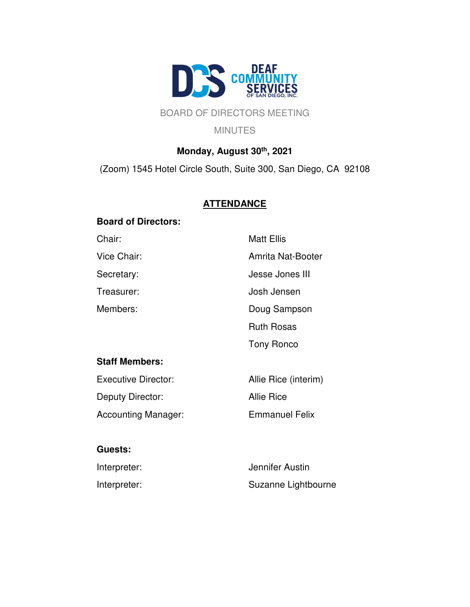

# BOARD OF DIRECTORS MEETING

#### MINUTES

# **Monday, August 30th, 2021**

(Zoom) 1545 Hotel Circle South, Suite 300, San Diego, CA 92108

# **ATTENDANCE**

### **Board of Directors:**

Chair: Matt Ellis Vice Chair: **Amrita Nat-Booter** Secretary: Secretary: Jesse Jones III Treasurer: Josh Jensen Members: Doug Sampson Ruth Rosas Tony Ronco **Staff Members:** Executive Director: Allie Rice (interim) Deputy Director: Allie Rice Accounting Manager: Emmanuel Felix

### **Guests:**

| Interpreter: | Jennifer Austin     |
|--------------|---------------------|
| Interpreter: | Suzanne Lightbourne |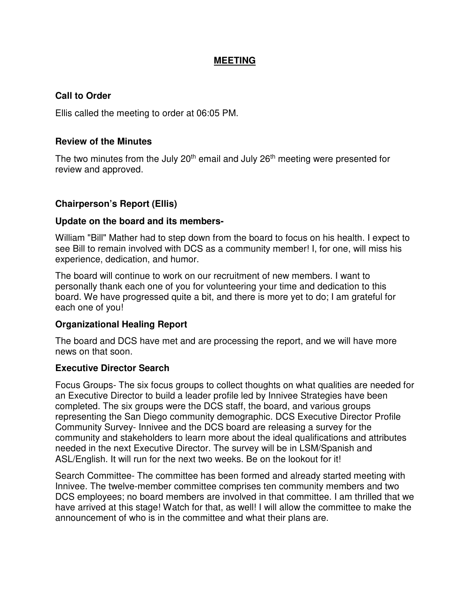### **MEETING**

### **Call to Order**

Ellis called the meeting to order at 06:05 PM.

### **Review of the Minutes**

The two minutes from the July 20<sup>th</sup> email and July 26<sup>th</sup> meeting were presented for review and approved.

### **Chairperson's Report (Ellis)**

### **Update on the board and its members-**

William "Bill" Mather had to step down from the board to focus on his health. I expect to see Bill to remain involved with DCS as a community member! I, for one, will miss his experience, dedication, and humor.

The board will continue to work on our recruitment of new members. I want to personally thank each one of you for volunteering your time and dedication to this board. We have progressed quite a bit, and there is more yet to do; I am grateful for each one of you!

### **Organizational Healing Report**

The board and DCS have met and are processing the report, and we will have more news on that soon.

### **Executive Director Search**

Focus Groups- The six focus groups to collect thoughts on what qualities are needed for an Executive Director to build a leader profile led by Innivee Strategies have been completed. The six groups were the DCS staff, the board, and various groups representing the San Diego community demographic. DCS Executive Director Profile Community Survey- Innivee and the DCS board are releasing a survey for the community and stakeholders to learn more about the ideal qualifications and attributes needed in the next Executive Director. The survey will be in LSM/Spanish and ASL/English. It will run for the next two weeks. Be on the lookout for it!

Search Committee- The committee has been formed and already started meeting with Innivee. The twelve-member committee comprises ten community members and two DCS employees; no board members are involved in that committee. I am thrilled that we have arrived at this stage! Watch for that, as well! I will allow the committee to make the announcement of who is in the committee and what their plans are.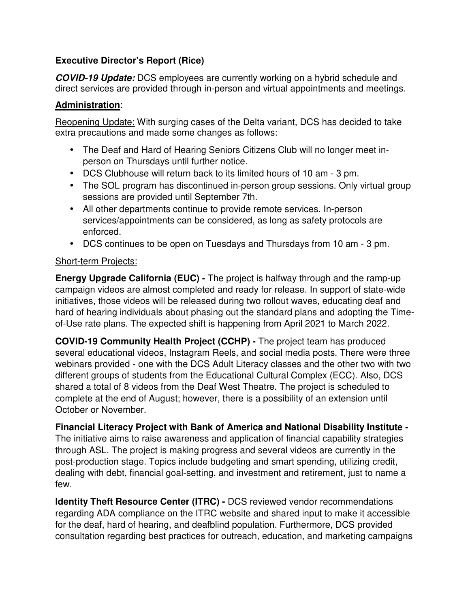# **Executive Director's Report (Rice)**

**COVID-19 Update:** DCS employees are currently working on a hybrid schedule and direct services are provided through in-person and virtual appointments and meetings.

## **Administration**:

Reopening Update: With surging cases of the Delta variant, DCS has decided to take extra precautions and made some changes as follows:

- The Deaf and Hard of Hearing Seniors Citizens Club will no longer meet inperson on Thursdays until further notice.
- DCS Clubhouse will return back to its limited hours of 10 am 3 pm.
- The SOL program has discontinued in-person group sessions. Only virtual group sessions are provided until September 7th.
- All other departments continue to provide remote services. In-person services/appointments can be considered, as long as safety protocols are enforced.
- DCS continues to be open on Tuesdays and Thursdays from 10 am 3 pm.

### Short-term Projects:

**Energy Upgrade California (EUC) -** The project is halfway through and the ramp-up campaign videos are almost completed and ready for release. In support of state-wide initiatives, those videos will be released during two rollout waves, educating deaf and hard of hearing individuals about phasing out the standard plans and adopting the Timeof-Use rate plans. The expected shift is happening from April 2021 to March 2022.

**COVID-19 Community Health Project (CCHP) -** The project team has produced several educational videos, Instagram Reels, and social media posts. There were three webinars provided - one with the DCS Adult Literacy classes and the other two with two different groups of students from the Educational Cultural Complex (ECC). Also, DCS shared a total of 8 videos from the Deaf West Theatre. The project is scheduled to complete at the end of August; however, there is a possibility of an extension until October or November.

**Financial Literacy Project with Bank of America and National Disability Institute -** The initiative aims to raise awareness and application of financial capability strategies through ASL. The project is making progress and several videos are currently in the post-production stage. Topics include budgeting and smart spending, utilizing credit, dealing with debt, financial goal-setting, and investment and retirement, just to name a few.

**Identity Theft Resource Center (ITRC) -** DCS reviewed vendor recommendations regarding ADA compliance on the ITRC website and shared input to make it accessible for the deaf, hard of hearing, and deafblind population. Furthermore, DCS provided consultation regarding best practices for outreach, education, and marketing campaigns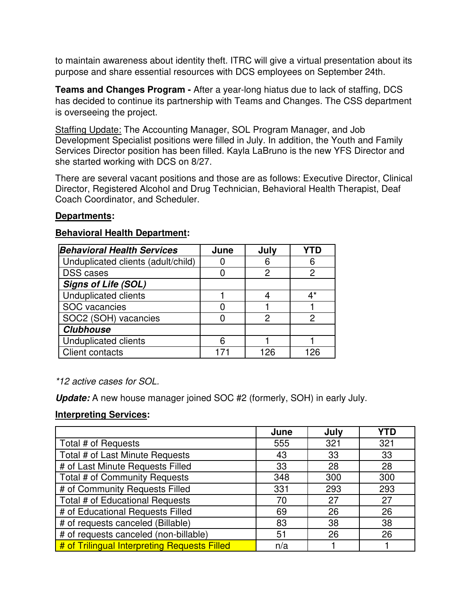to maintain awareness about identity theft. ITRC will give a virtual presentation about its purpose and share essential resources with DCS employees on September 24th.

**Teams and Changes Program -** After a year-long hiatus due to lack of staffing, DCS has decided to continue its partnership with Teams and Changes. The CSS department is overseeing the project.

Staffing Update: The Accounting Manager, SOL Program Manager, and Job Development Specialist positions were filled in July. In addition, the Youth and Family Services Director position has been filled. Kayla LaBruno is the new YFS Director and she started working with DCS on 8/27.

There are several vacant positions and those are as follows: Executive Director, Clinical Director, Registered Alcohol and Drug Technician, Behavioral Health Therapist, Deaf Coach Coordinator, and Scheduler.

### **Departments:**

### **Behavioral Health Department:**

| <b>Behavioral Health Services</b>  | June | July |    |
|------------------------------------|------|------|----|
| Unduplicated clients (adult/child) |      |      | 6  |
| <b>DSS</b> cases                   |      | 2    |    |
| <b>Signs of Life (SOL)</b>         |      |      |    |
| <b>Unduplicated clients</b>        |      |      | ∆* |
| SOC vacancies                      |      |      |    |
| SOC2 (SOH) vacancies               |      | 2    | 2  |
| <b>Clubhouse</b>                   |      |      |    |
| <b>Unduplicated clients</b>        | 6    |      |    |
| <b>Client contacts</b>             |      | 126  |    |

\*12 active cases for SOL.

**Update:** A new house manager joined SOC #2 (formerly, SOH) in early July.

# **Interpreting Services:**

|                                              | June | July | YTD |
|----------------------------------------------|------|------|-----|
| Total # of Requests                          | 555  | 321  | 321 |
| Total # of Last Minute Requests              | 43   | 33   | 33  |
| # of Last Minute Requests Filled             | 33   | 28   | 28  |
| Total # of Community Requests                | 348  | 300  | 300 |
| # of Community Requests Filled               | 331  | 293  | 293 |
| Total # of Educational Requests              | 70   | 27   | 27  |
| # of Educational Requests Filled             | 69   | 26   | 26  |
| # of requests canceled (Billable)            | 83   | 38   | 38  |
| # of requests canceled (non-billable)        | 51   | 26   | 26  |
| # of Trilingual Interpreting Requests Filled | n/a  |      |     |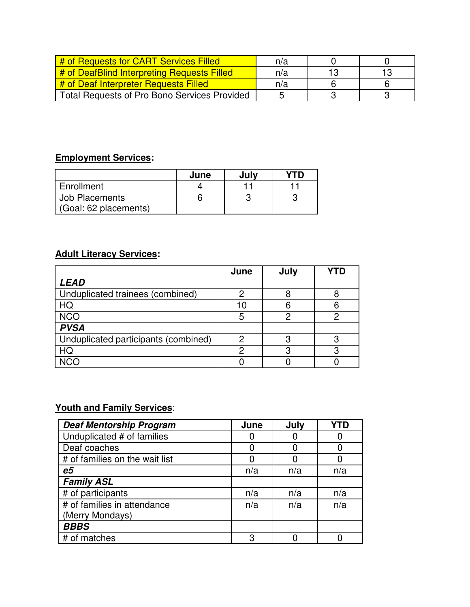| # of Requests for CART Services Filled              | n/a |    |  |
|-----------------------------------------------------|-----|----|--|
| # of DeafBlind Interpreting Requests Filled         | n/a | 13 |  |
| # of Deaf Interpreter Requests Filled               | n/a |    |  |
| <b>Total Requests of Pro Bono Services Provided</b> |     |    |  |

# **Employment Services:**

|                       | June | Julv |  |
|-----------------------|------|------|--|
| Enrollment            |      |      |  |
| Job Placements        |      |      |  |
| (Goal: 62 placements) |      |      |  |

# **Adult Literacy Services:**

|                                      | June | July | YTD |
|--------------------------------------|------|------|-----|
| <b>LEAD</b>                          |      |      |     |
| Unduplicated trainees (combined)     |      |      |     |
| HQ                                   | 1 በ  |      |     |
| <b>NCO</b>                           | 5    |      |     |
| <b>PVSA</b>                          |      |      |     |
| Unduplicated participants (combined) |      |      |     |
| HQ                                   |      |      |     |
| <b>NCC</b>                           |      |      |     |

# **Youth and Family Services**:

| <b>Deaf Mentorship Program</b> | June | July | YTD |
|--------------------------------|------|------|-----|
| Unduplicated # of families     |      |      |     |
| Deaf coaches                   |      |      |     |
| # of families on the wait list |      |      |     |
| e5                             | n/a  | n/a  | n/a |
| <b>Family ASL</b>              |      |      |     |
| # of participants              | n/a  | n/a  | n/a |
| # of families in attendance    | n/a  | n/a  | n/a |
| (Merry Mondays)                |      |      |     |
| <b>BBBS</b>                    |      |      |     |
| # of matches                   | З    |      |     |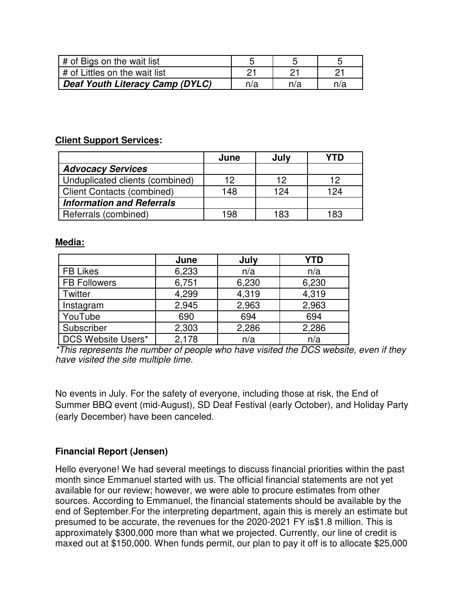| # of Bigs on the wait list      |     |        |     |
|---------------------------------|-----|--------|-----|
| I # of Littles on the wait list |     |        |     |
| Deaf Youth Literacy Camp (DYLC) | n/a | ำ/ $a$ | n/a |

### **Client Support Services:**

|                                   | June | July | YTD |
|-----------------------------------|------|------|-----|
| <b>Advocacy Services</b>          |      |      |     |
| Unduplicated clients (combined)   | 12   | 12   | 12  |
| <b>Client Contacts (combined)</b> | 148  | 124  | 124 |
| <b>Information and Referrals</b>  |      |      |     |
| Referrals (combined)              | 198  | 183  | 183 |

### **Media:**

|                     | June  | July  | <b>YTD</b> |
|---------------------|-------|-------|------------|
| <b>FB Likes</b>     | 6,233 | n/a   | n/a        |
| <b>FB Followers</b> | 6,751 | 6,230 | 6,230      |
| Twitter             | 4,299 | 4,319 | 4,319      |
| Instagram           | 2,945 | 2,963 | 2,963      |
| YouTube             | 690   | 694   | 694        |
| Subscriber          | 2,303 | 2,286 | 2,286      |
| DCS Website Users*  | 2,178 | n/a   | n/a        |

\*This represents the number of people who have visited the DCS website, even if they have visited the site multiple time.

No events in July. For the safety of everyone, including those at risk, the End of Summer BBQ event (mid-August), SD Deaf Festival (early October), and Holiday Party (early December) have been canceled.

### **Financial Report (Jensen)**

Hello everyone! We had several meetings to discuss financial priorities within the past month since Emmanuel started with us. The official financial statements are not yet available for our review; however, we were able to procure estimates from other sources. According to Emmanuel, the financial statements should be available by the end of September.For the interpreting department, again this is merely an estimate but presumed to be accurate, the revenues for the 2020-2021 FY is\$1.8 million. This is approximately \$300,000 more than what we projected. Currently, our line of credit is maxed out at \$150,000. When funds permit, our plan to pay it off is to allocate \$25,000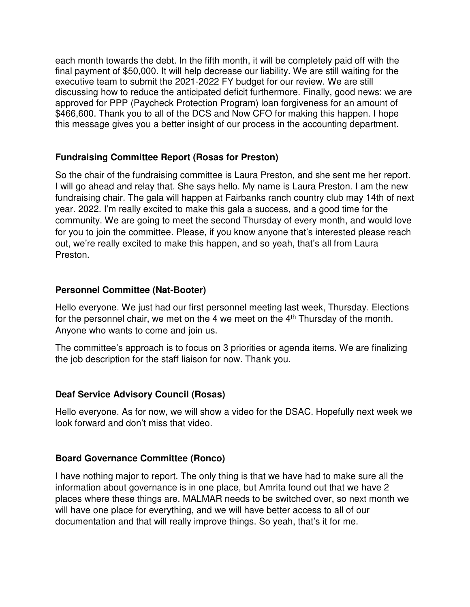each month towards the debt. In the fifth month, it will be completely paid off with the final payment of \$50,000. It will help decrease our liability. We are still waiting for the executive team to submit the 2021-2022 FY budget for our review. We are still discussing how to reduce the anticipated deficit furthermore. Finally, good news: we are approved for PPP (Paycheck Protection Program) loan forgiveness for an amount of \$466,600. Thank you to all of the DCS and Now CFO for making this happen. I hope this message gives you a better insight of our process in the accounting department.

# **Fundraising Committee Report (Rosas for Preston)**

So the chair of the fundraising committee is Laura Preston, and she sent me her report. I will go ahead and relay that. She says hello. My name is Laura Preston. I am the new fundraising chair. The gala will happen at Fairbanks ranch country club may 14th of next year. 2022. I'm really excited to make this gala a success, and a good time for the community. We are going to meet the second Thursday of every month, and would love for you to join the committee. Please, if you know anyone that's interested please reach out, we're really excited to make this happen, and so yeah, that's all from Laura Preston.

# **Personnel Committee (Nat-Booter)**

Hello everyone. We just had our first personnel meeting last week, Thursday. Elections for the personnel chair, we met on the 4 we meet on the  $4<sup>th</sup>$  Thursday of the month. Anyone who wants to come and join us.

The committee's approach is to focus on 3 priorities or agenda items. We are finalizing the job description for the staff liaison for now. Thank you.

# **Deaf Service Advisory Council (Rosas)**

Hello everyone. As for now, we will show a video for the DSAC. Hopefully next week we look forward and don't miss that video.

### **Board Governance Committee (Ronco)**

I have nothing major to report. The only thing is that we have had to make sure all the information about governance is in one place, but Amrita found out that we have 2 places where these things are. MALMAR needs to be switched over, so next month we will have one place for everything, and we will have better access to all of our documentation and that will really improve things. So yeah, that's it for me.